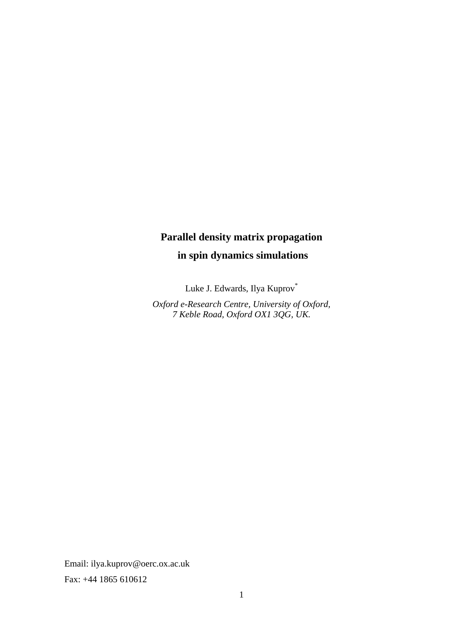# **Parallel density matrix propagation in spin dynamics simulations**

Luke J. Edwards, Ilya Kuprov<sup>\*</sup>

*Oxford e-Research Centre, University of Oxford, 7 Keble Road, Oxford OX1 3QG, UK.* 

Email: ilya.kuprov@oerc.ox.ac.uk Fax: +44 1865 610612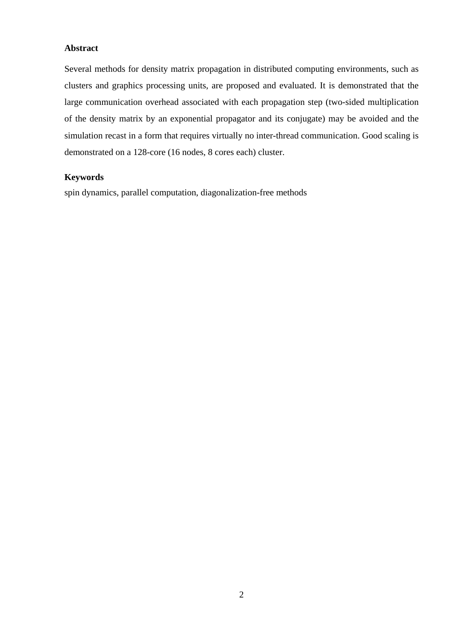## **Abstract**

Several methods for density matrix propagation in distributed computing environments, such as clusters and graphics processing units, are proposed and evaluated. It is demonstrated that the large communication overhead associated with each propagation step (two-sided multiplication of the density matrix by an exponential propagator and its conjugate) may be avoided and the simulation recast in a form that requires virtually no inter-thread communication. Good scaling is demonstrated on a 128-core (16 nodes, 8 cores each) cluster.

# **Keywords**

spin dynamics, parallel computation, diagonalization-free methods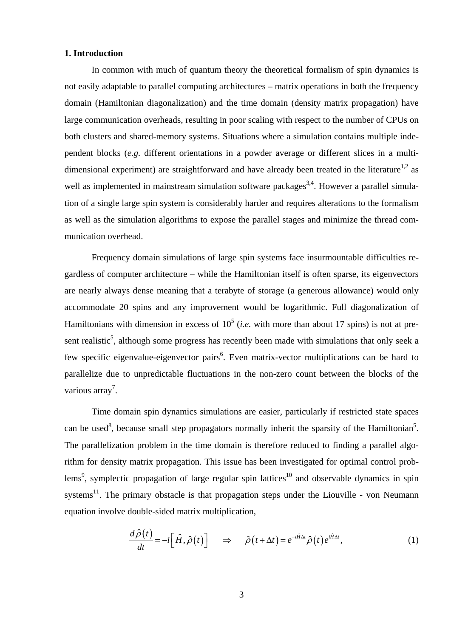#### **1. Introduction**

In common with much of quantum theory the theoretical formalism of spin dynamics is not easily adaptable to parallel computing architectures – matrix operations in both the frequency domain (Hamiltonian diagonalization) and the time domain (density matrix propagation) have large communication overheads, resulting in poor scaling with respect to the number of CPUs on both clusters and shared-memory systems. Situations where a simulation contains multiple independent blocks (*e.g.* different orientations in a powder average or different slices in a multidimensional experiment) are straightforward and have already been treated in the literature<sup>1,2</sup> as well as implemented in mainstream simulation software packages<sup>3,4</sup>. However a parallel simulation of a single large spin system is considerably harder and requires alterations to the formalism as well as the simulation algorithms to expose the parallel stages and minimize the thread communication overhead.

Frequency domain simulations of large spin systems face insurmountable difficulties regardless of computer architecture – while the Hamiltonian itself is often sparse, its eigenvectors are nearly always dense meaning that a terabyte of storage (a generous allowance) would only accommodate 20 spins and any improvement would be logarithmic. Full diagonalization of Hamiltonians with dimension in excess of  $10^5$  (*i.e.* with more than about 17 spins) is not at present realistic<sup>5</sup>, although some progress has recently been made with simulations that only seek a few specific eigenvalue-eigenvector pairs<sup>6</sup>. Even matrix-vector multiplications can be hard to parallelize due to unpredictable fluctuations in the non-zero count between the blocks of the various  $\arctan^7$ .

Time domain spin dynamics simulations are easier, particularly if restricted state spaces can be used<sup>8</sup>, because small step propagators normally inherit the sparsity of the Hamiltonian<sup>5</sup>. The parallelization problem in the time domain is therefore reduced to finding a parallel algorithm for density matrix propagation. This issue has been investigated for optimal control problems<sup>9</sup>, symplectic propagation of large regular spin lattices<sup>10</sup> and observable dynamics in spin systems<sup>11</sup>. The primary obstacle is that propagation steps under the Liouville - von Neumann equation involve double-sided matrix multiplication,

$$
\frac{d\hat{\rho}(t)}{dt} = -i \Big[ \hat{H}, \hat{\rho}(t) \Big] \quad \Rightarrow \quad \hat{\rho}(t + \Delta t) = e^{-i\hat{H}\Delta t} \hat{\rho}(t) e^{i\hat{H}\Delta t}, \tag{1}
$$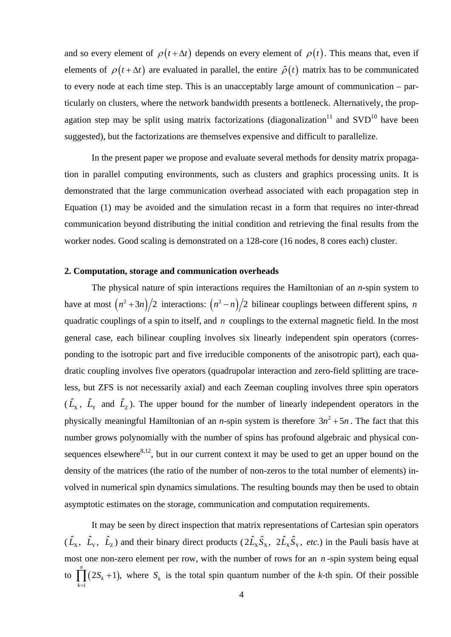and so every element of  $\rho(t + \Delta t)$  depends on every element of  $\rho(t)$ . This means that, even if elements of  $\rho(t + \Delta t)$  are evaluated in parallel, the entire  $\hat{\rho}(t)$  matrix has to be communicated to every node at each time step. This is an unacceptably large amount of communication – particularly on clusters, where the network bandwidth presents a bottleneck. Alternatively, the propagation step may be split using matrix factorizations (diagonalization $11$  and SVD $10$  have been suggested), but the factorizations are themselves expensive and difficult to parallelize.

 In the present paper we propose and evaluate several methods for density matrix propagation in parallel computing environments, such as clusters and graphics processing units. It is demonstrated that the large communication overhead associated with each propagation step in Equation (1) may be avoided and the simulation recast in a form that requires no inter-thread communication beyond distributing the initial condition and retrieving the final results from the worker nodes. Good scaling is demonstrated on a 128-core (16 nodes, 8 cores each) cluster.

#### **2. Computation, storage and communication overheads**

The physical nature of spin interactions requires the Hamiltonian of an *n*-spin system to have at most  $\left(n^2+3n\right)/2$  interactions:  $\left(n^2-n\right)/2$  bilinear couplings between different spins, *n* quadratic couplings of a spin to itself, and *n* couplings to the external magnetic field. In the most general case, each bilinear coupling involves six linearly independent spin operators (corresponding to the isotropic part and five irreducible components of the anisotropic part), each quadratic coupling involves five operators (quadrupolar interaction and zero-field splitting are traceless, but ZFS is not necessarily axial) and each Zeeman coupling involves three spin operators  $(\hat{L}_X, \hat{L}_Y)$  and  $\hat{L}_Z$ ). The upper bound for the number of linearly independent operators in the physically meaningful Hamiltonian of an *n*-spin system is therefore  $3n^2 + 5n$ . The fact that this number grows polynomially with the number of spins has profound algebraic and physical consequences elsewhere<sup>8,12</sup>, but in our current context it may be used to get an upper bound on the density of the matrices (the ratio of the number of non-zeros to the total number of elements) involved in numerical spin dynamics simulations. The resulting bounds may then be used to obtain asymptotic estimates on the storage, communication and computation requirements.

It may be seen by direct inspection that matrix representations of Cartesian spin operators  $(\hat{L}_x, \hat{L}_y, \hat{L}_z)$  and their binary direct products  $(2\hat{L}_x\hat{S}_x, 2\hat{L}_x\hat{S}_y, etc.)$  in the Pauli basis have at most one non-zero element per row, with the number of rows for an *n*-spin system being equal to  $\prod (2S_k + 1)$ , 1 *n*  $\prod (2S_k + 1)$ , where  $S_k$  is the total spin quantum number of the *k*-th spin. Of their possible *k* =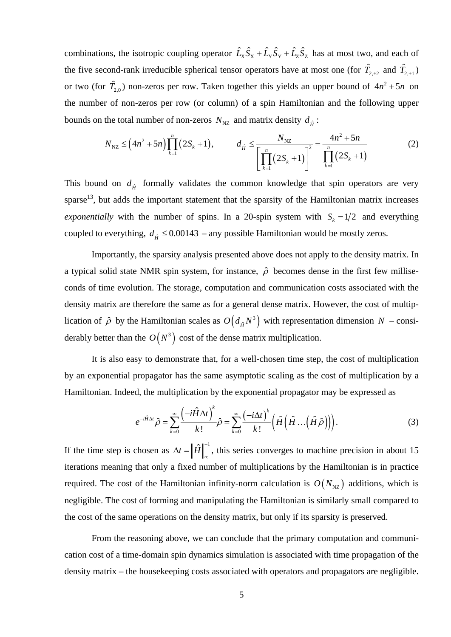combinations, the isotropic coupling operator  $\hat{L}_x \hat{S}_x + \hat{L}_y \hat{S}_y + \hat{L}_z \hat{S}_z$  has at most two, and each of the five second-rank irreducible spherical tensor operators have at most one (for  $\hat{T}_{2,\pm 2}$  and  $\hat{T}_{2,\pm 1}$ ) or two (for  $\hat{T}_{2,0}$ ) non-zeros per row. Taken together this yields an upper bound of  $4n^2 + 5n$  on the number of non-zeros per row (or column) of a spin Hamiltonian and the following upper bounds on the total number of non-zeros  $N_{\text{NZ}}$  and matrix density  $d_{\hat{\mu}}$ :

$$
N_{\rm NZ} \leq (4n^2 + 5n) \prod_{k=1}^n (2S_k + 1), \qquad d_{\hat{H}} \leq \frac{N_{\rm NZ}}{\left[\prod_{k=1}^n (2S_k + 1)\right]^2} = \frac{4n^2 + 5n}{\prod_{k=1}^n (2S_k + 1)}
$$
(2)

This bound on  $d_{\hat{\mu}}$  formally validates the common knowledge that spin operators are very sparse $^{13}$ , but adds the important statement that the sparsity of the Hamiltonian matrix increases *exponentially* with the number of spins. In a 20-spin system with  $S_k = 1/2$  and everything coupled to everything,  $d_{\hat{H}} \leq 0.00143$  – any possible Hamiltonian would be mostly zeros.

Importantly, the sparsity analysis presented above does not apply to the density matrix. In a typical solid state NMR spin system, for instance,  $\hat{\rho}$  becomes dense in the first few milliseconds of time evolution. The storage, computation and communication costs associated with the density matrix are therefore the same as for a general dense matrix. However, the cost of multiplication of  $\hat{\rho}$  by the Hamiltonian scales as  $O(d_{\hat{H}}N^3)$  with representation dimension *N* – considerably better than the  $O(N^3)$  cost of the dense matrix multiplication.

It is also easy to demonstrate that, for a well-chosen time step, the cost of multiplication by an exponential propagator has the same asymptotic scaling as the cost of multiplication by a Hamiltonian. Indeed, the multiplication by the exponential propagator may be expressed as

$$
e^{-i\hat{H}\Delta t}\hat{\rho} = \sum_{k=0}^{\infty} \frac{\left(-i\hat{H}\Delta t\right)^{k}}{k!} \hat{\rho} = \sum_{k=0}^{\infty} \frac{\left(-i\Delta t\right)^{k}}{k!} \left(\hat{H}\left(\hat{H}\ldots\left(\hat{H}\hat{\rho}\right)\right)\right).
$$
(3)

If the time step is chosen as  $\Delta t = ||\hat{H}||_{\infty}^{-1}$ , this series converges to machine precision in about 15 iterations meaning that only a fixed number of multiplications by the Hamiltonian is in practice required. The cost of the Hamiltonian infinity-norm calculation is  $O(N_{\text{NZ}})$  additions, which is negligible. The cost of forming and manipulating the Hamiltonian is similarly small compared to the cost of the same operations on the density matrix, but only if its sparsity is preserved.

From the reasoning above, we can conclude that the primary computation and communication cost of a time-domain spin dynamics simulation is associated with time propagation of the density matrix – the housekeeping costs associated with operators and propagators are negligible.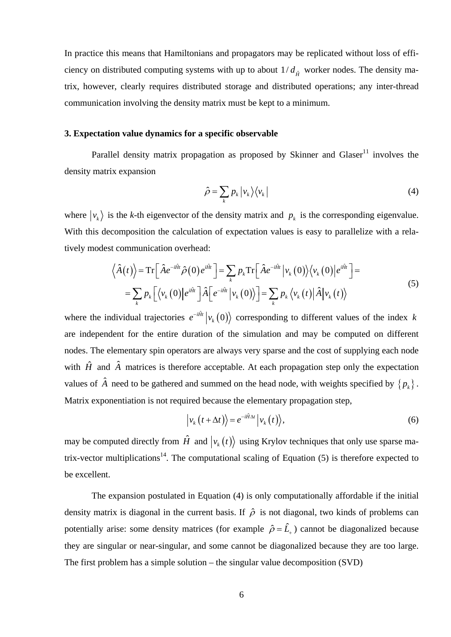In practice this means that Hamiltonians and propagators may be replicated without loss of efficiency on distributed computing systems with up to about  $1/d_{\hat{H}}$  worker nodes. The density matrix, however, clearly requires distributed storage and distributed operations; any inter-thread communication involving the density matrix must be kept to a minimum.

#### **3. Expectation value dynamics for a specific observable**

Parallel density matrix propagation as proposed by Skinner and  $Glaser<sup>11</sup>$  involves the density matrix expansion

$$
\hat{\rho} = \sum_{k} p_k |v_k\rangle\langle v_k| \tag{4}
$$

where  $|v_k\rangle$  is the *k*-th eigenvector of the density matrix and  $p_k$  is the corresponding eigenvalue. With this decomposition the calculation of expectation values is easy to parallelize with a relatively modest communication overhead:

$$
\langle \hat{A}(t) \rangle = \text{Tr} \Big[ \hat{A} e^{-i\hat{H}t} \hat{\rho}(0) e^{i\hat{H}t} \Big] = \sum_{k} p_k \text{Tr} \Big[ \hat{A} e^{-i\hat{H}t} |v_k(0) \rangle \langle v_k(0) | e^{i\hat{H}t} \Big] =
$$
  

$$
= \sum_{k} p_k \Big[ \langle v_k(0) | e^{i\hat{H}t} \Big] \hat{A} \Big[ e^{-i\hat{H}t} |v_k(0) \rangle \Big] = \sum_{k} p_k \langle v_k(t) | \hat{A} | v_k(t) \rangle
$$
 (5)

where the individual trajectories  $e^{-i\hat{H}t} |v_k(0)\rangle$  corresponding to different values of the index *k* are independent for the entire duration of the simulation and may be computed on different nodes. The elementary spin operators are always very sparse and the cost of supplying each node with  $\hat{H}$  and  $\hat{A}$  matrices is therefore acceptable. At each propagation step only the expectation values of  $\hat{A}$  need to be gathered and summed on the head node, with weights specified by  $\{p_k\}$ . Matrix exponentiation is not required because the elementary propagation step,

$$
\left|v_{k}\left(t+\Delta t\right)\right\rangle=e^{-i\hat{H}\Delta t}\left|v_{k}\left(t\right)\right\rangle,\tag{6}
$$

may be computed directly from  $\hat{H}$  and  $|v_k(t)\rangle$  using Krylov techniques that only use sparse matrix-vector multiplications<sup>14</sup>. The computational scaling of Equation  $(5)$  is therefore expected to be excellent.

 The expansion postulated in Equation (4) is only computationally affordable if the initial density matrix is diagonal in the current basis. If  $\hat{\rho}$  is not diagonal, two kinds of problems can potentially arise: some density matrices (for example  $\hat{\rho} = \hat{L}_+$ ) cannot be diagonalized because they are singular or near-singular, and some cannot be diagonalized because they are too large. The first problem has a simple solution – the singular value decomposition (SVD)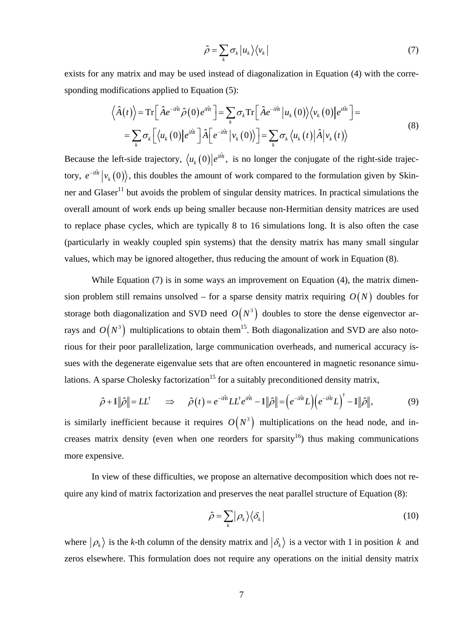$$
\hat{\rho} = \sum_{k} \sigma_{k} |u_{k}\rangle\langle v_{k}| \tag{7}
$$

exists for any matrix and may be used instead of diagonalization in Equation (4) with the corresponding modifications applied to Equation (5):

$$
\langle \hat{A}(t) \rangle = \text{Tr} \Big[ \hat{A} e^{-i\hat{H}t} \hat{\rho}(0) e^{i\hat{H}t} \Big] = \sum_{k} \sigma_{k} \text{Tr} \Big[ \hat{A} e^{-i\hat{H}t} |u_{k}(0) \rangle \langle v_{k}(0) | e^{i\hat{H}t} \Big] =
$$
  

$$
= \sum_{k} \sigma_{k} \Big[ \langle u_{k}(0) | e^{i\hat{H}t} \Big] \hat{A} \Big[ e^{-i\hat{H}t} |v_{k}(0) \rangle \Big] = \sum_{k} \sigma_{k} \langle u_{k}(t) | \hat{A} | v_{k}(t) \rangle
$$
 (8)

Because the left-side trajectory,  $\langle u_k(0)|e^{i\hat{H}t}$ , is no longer the conjugate of the right-side trajectory,  $e^{-i\hat{H}t} |v_k(0)\rangle$ , this doubles the amount of work compared to the formulation given by Skinner and Glaser<sup>11</sup> but avoids the problem of singular density matrices. In practical simulations the overall amount of work ends up being smaller because non-Hermitian density matrices are used to replace phase cycles, which are typically 8 to 16 simulations long. It is also often the case (particularly in weakly coupled spin systems) that the density matrix has many small singular values, which may be ignored altogether, thus reducing the amount of work in Equation (8).

While Equation (7) is in some ways an improvement on Equation (4), the matrix dimension problem still remains unsolved – for a sparse density matrix requiring  $O(N)$  doubles for storage both diagonalization and SVD need  $O(N^3)$  doubles to store the dense eigenvector arrays and  $O(N^3)$  multiplications to obtain them<sup>15</sup>. Both diagonalization and SVD are also notorious for their poor parallelization, large communication overheads, and numerical accuracy issues with the degenerate eigenvalue sets that are often encountered in magnetic resonance simulations. A sparse Cholesky factorization<sup>15</sup> for a suitably preconditioned density matrix,

$$
\hat{\rho} + 1 \|\hat{\rho}\| = LL^{\dagger} \qquad \Rightarrow \qquad \hat{\rho}(t) = e^{-i\hat{H}t} LL^{\dagger} e^{i\hat{H}t} - 1 \|\hat{\rho}\| = \left(e^{-i\hat{H}t} L\right) \left(e^{-i\hat{H}t} L\right)^{\dagger} - 1 \|\hat{\rho}\|,\tag{9}
$$

is similarly inefficient because it requires  $O(N^3)$  multiplications on the head node, and increases matrix density (even when one reorders for sparsity<sup>16</sup>) thus making communications more expensive.

In view of these difficulties, we propose an alternative decomposition which does not require any kind of matrix factorization and preserves the neat parallel structure of Equation (8):

$$
\hat{\rho} = \sum_{k} |\rho_k\rangle\langle\delta_k| \tag{10}
$$

where  $|\rho_k\rangle$  is the *k*-th column of the density matrix and  $|\delta_k\rangle$  is a vector with 1 in position *k* and zeros elsewhere. This formulation does not require any operations on the initial density matrix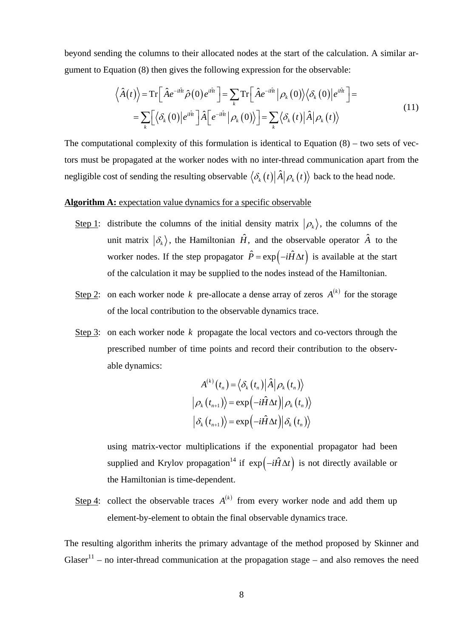beyond sending the columns to their allocated nodes at the start of the calculation. A similar argument to Equation (8) then gives the following expression for the observable:

$$
\langle \hat{A}(t) \rangle = \text{Tr} \Big[ \hat{A} e^{-i\hat{H}t} \hat{\rho}(0) e^{i\hat{H}t} \Big] = \sum_{k} \text{Tr} \Big[ \hat{A} e^{-i\hat{H}t} \Big| \rho_{k}(0) \rangle \langle \delta_{k}(0) \Big| e^{i\hat{H}t} \Big] =
$$
  

$$
= \sum_{k} \Big[ \langle \delta_{k}(0) \Big| e^{i\hat{H}t} \Big] \hat{A} \Big[ e^{-i\hat{H}t} \Big| \rho_{k}(0) \rangle \Big] = \sum_{k} \langle \delta_{k}(t) \Big| \hat{A} \Big| \rho_{k}(t) \rangle
$$
 (11)

The computational complexity of this formulation is identical to Equation  $(8)$  – two sets of vectors must be propagated at the worker nodes with no inter-thread communication apart from the negligible cost of sending the resulting observable  $\langle \delta_k(t) | \hat{A} | \rho_k(t) \rangle$  back to the head node.

## **Algorithm A:** expectation value dynamics for a specific observable

- Step 1: distribute the columns of the initial density matrix  $\langle \rho_k \rangle$ , the columns of the unit matrix  $\ket{\delta_k}$ , the Hamiltonian  $\hat{H}$ , and the observable operator  $\hat{A}$  to the worker nodes. If the step propagator  $\hat{P} = \exp(-i\hat{H}\Delta t)$  is available at the start of the calculation it may be supplied to the nodes instead of the Hamiltonian.
- Step 2: on each worker node *k* pre-allocate a dense array of zeros  $A^{(k)}$  for the storage of the local contribution to the observable dynamics trace.
- Step 3: on each worker node *k* propagate the local vectors and co-vectors through the prescribed number of time points and record their contribution to the observable dynamics:

$$
A^{(k)}(t_n) = \langle \delta_k(t_n) | \hat{A} | \rho_k(t_n) \rangle
$$

$$
| \rho_k(t_{n+1}) \rangle = \exp(-i\hat{H}\Delta t) | \rho_k(t_n) \rangle
$$

$$
| \delta_k(t_{n+1}) \rangle = \exp(-i\hat{H}\Delta t) | \delta_k(t_n) \rangle
$$

using matrix-vector multiplications if the exponential propagator had been supplied and Krylov propagation<sup>14</sup> if  $\exp(-i\hat{H}\Delta t)$  is not directly available or the Hamiltonian is time-dependent.

Step 4: collect the observable traces  $A^{(k)}$  from every worker node and add them up element-by-element to obtain the final observable dynamics trace.

The resulting algorithm inherits the primary advantage of the method proposed by Skinner and Glaser<sup>11</sup> – no inter-thread communication at the propagation stage – and also removes the need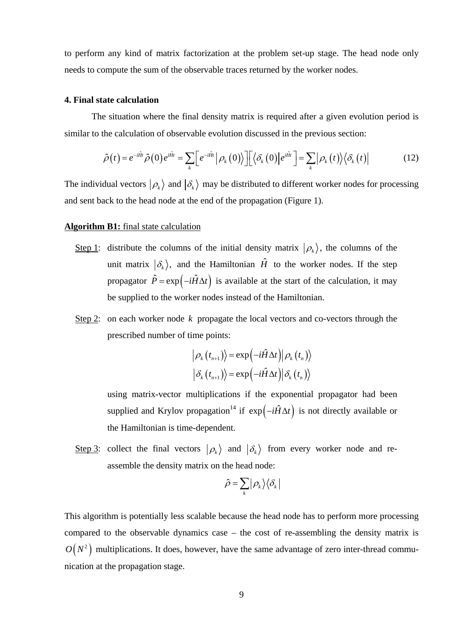to perform any kind of matrix factorization at the problem set-up stage. The head node only needs to compute the sum of the observable traces returned by the worker nodes.

#### **4. Final state calculation**

The situation where the final density matrix is required after a given evolution period is similar to the calculation of observable evolution discussed in the previous section:

$$
\hat{\rho}(t) = e^{-i\hat{H}t}\hat{\rho}(0)e^{i\hat{H}t} = \sum_{k} \left[ e^{-i\hat{H}t} \left| \rho_{k}(0) \right\rangle \right] \left[ \left\langle \delta_{k}(0) \right| e^{i\hat{H}t} \right] = \sum_{k} \left| \rho_{k}(t) \right\rangle \left\langle \delta_{k}(t) \right]
$$
(12)

The individual vectors  $|\rho_k\rangle$  and  $|\delta_k\rangle$  may be distributed to different worker nodes for processing and sent back to the head node at the end of the propagation (Figure 1).

#### **Algorithm B1:** final state calculation

- Step 1: distribute the columns of the initial density matrix  $\vert \rho_k \rangle$ , the columns of the unit matrix  $\langle \delta_k \rangle$ , and the Hamiltonian  $\hat{H}$  to the worker nodes. If the step propagator  $\hat{P} = \exp(-i\hat{H}\Delta t)$  is available at the start of the calculation, it may be supplied to the worker nodes instead of the Hamiltonian.
- Step 2: on each worker node *k* propagate the local vectors and co-vectors through the prescribed number of time points:

$$
\left|\rho_{k}\left(t_{n+1}\right)\right\rangle = \exp\left(-i\hat{H}\Delta t\right)\left|\rho_{k}\left(t_{n}\right)\right\rangle
$$

$$
\left|\delta_{k}\left(t_{n+1}\right)\right\rangle = \exp\left(-i\hat{H}\Delta t\right)\left|\delta_{k}\left(t_{n}\right)\right\rangle
$$

using matrix-vector multiplications if the exponential propagator had been supplied and Krylov propagation<sup>14</sup> if  $\exp(-i\hat{H}\Delta t)$  is not directly available or the Hamiltonian is time-dependent.

Step 3: collect the final vectors  $|\rho_k\rangle$  and  $|\delta_k\rangle$  from every worker node and reassemble the density matrix on the head node:

$$
\hat{\rho} = \sum_{k} \left| \rho_{k} \right\rangle \left\langle \delta_{k} \right|
$$

This algorithm is potentially less scalable because the head node has to perform more processing compared to the observable dynamics case – the cost of re-assembling the density matrix is  $O(N^2)$  multiplications. It does, however, have the same advantage of zero inter-thread communication at the propagation stage.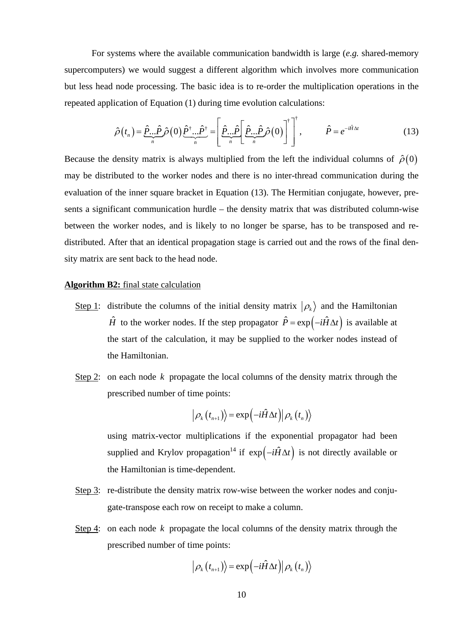For systems where the available communication bandwidth is large (*e.g.* shared-memory supercomputers) we would suggest a different algorithm which involves more communication but less head node processing. The basic idea is to re-order the multiplication operations in the repeated application of Equation (1) during time evolution calculations:

$$
\hat{\rho}(t_n) = \underbrace{\hat{P}_{\dots}\hat{P}}_{n}\hat{\rho}(0)\underbrace{\hat{P}^{\dagger}_{\dots}\hat{P}^{\dagger}}_{n} = \left[\underbrace{\hat{P}_{\dots}\hat{P}}_{n}\left[\underbrace{\hat{P}_{\dots}\hat{P}}_{n}\hat{\rho}(0)\right]^{\dagger}\right]^{\dagger}, \qquad \hat{P} = e^{-i\hat{H}\Delta t}
$$
\n(13)

Because the density matrix is always multiplied from the left the individual columns of  $\hat{\rho}(0)$ may be distributed to the worker nodes and there is no inter-thread communication during the evaluation of the inner square bracket in Equation (13). The Hermitian conjugate, however, presents a significant communication hurdle – the density matrix that was distributed column-wise between the worker nodes, and is likely to no longer be sparse, has to be transposed and redistributed. After that an identical propagation stage is carried out and the rows of the final density matrix are sent back to the head node.

## **Algorithm B2:** final state calculation

- Step 1: distribute the columns of the initial density matrix  $\vert \rho_k \rangle$  and the Hamiltonian  $\hat{H}$  to the worker nodes. If the step propagator  $\hat{P} = \exp(-i\hat{H}\Delta t)$  is available at the start of the calculation, it may be supplied to the worker nodes instead of the Hamiltonian.
- Step 2: on each node *k* propagate the local columns of the density matrix through the prescribed number of time points:

$$
\left|\rho_{k}\left(t_{n+1}\right)\right\rangle = \exp\left(-i\hat{H}\Delta t\right)\left|\rho_{k}\left(t_{n}\right)\right\rangle
$$

using matrix-vector multiplications if the exponential propagator had been supplied and Krylov propagation<sup>14</sup> if  $\exp(-i\hat{H}\Delta t)$  is not directly available or the Hamiltonian is time-dependent.

- Step 3: re-distribute the density matrix row-wise between the worker nodes and conjugate-transpose each row on receipt to make a column.
- Step 4: on each node *k* propagate the local columns of the density matrix through the prescribed number of time points:

$$
\left|\rho_{k}\left(t_{n+1}\right)\right\rangle = \exp\left(-i\hat{H}\Delta t\right)\left|\rho_{k}\left(t_{n}\right)\right\rangle
$$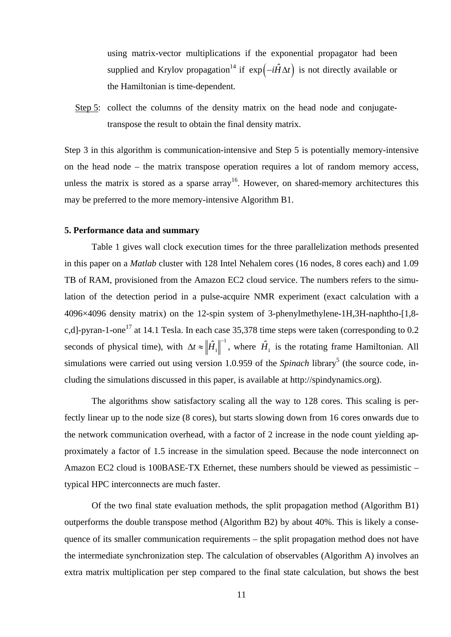using matrix-vector multiplications if the exponential propagator had been supplied and Krylov propagation<sup>14</sup> if  $\exp(-i\hat{H}\Delta t)$  is not directly available or the Hamiltonian is time-dependent.

Step 5: collect the columns of the density matrix on the head node and conjugatetranspose the result to obtain the final density matrix.

Step 3 in this algorithm is communication-intensive and Step 5 is potentially memory-intensive on the head node – the matrix transpose operation requires a lot of random memory access, unless the matrix is stored as a sparse array<sup>16</sup>. However, on shared-memory architectures this may be preferred to the more memory-intensive Algorithm B1.

#### **5. Performance data and summary**

Table 1 gives wall clock execution times for the three parallelization methods presented in this paper on a *Matlab* cluster with 128 Intel Nehalem cores (16 nodes, 8 cores each) and 1.09 TB of RAM, provisioned from the Amazon EC2 cloud service. The numbers refers to the simulation of the detection period in a pulse-acquire NMR experiment (exact calculation with a 4096×4096 density matrix) on the 12-spin system of 3-phenylmethylene-1H,3H-naphtho-[1,8 c,d]-pyran-1-one<sup>17</sup> at 14.1 Tesla. In each case 35,378 time steps were taken (corresponding to 0.2) seconds of physical time), with  $\Delta t \approx ||\hat{H}_1||^{-1}$  $\Delta t \approx \left\| \hat{H}_1 \right\|^{-1}$ , where  $\hat{H}_1$  is the rotating frame Hamiltonian. All simulations were carried out using version 1.0.959 of the *Spinach* library<sup>5</sup> (the source code, including the simulations discussed in this paper, is available at http://spindynamics.org).

The algorithms show satisfactory scaling all the way to 128 cores. This scaling is perfectly linear up to the node size (8 cores), but starts slowing down from 16 cores onwards due to the network communication overhead, with a factor of 2 increase in the node count yielding approximately a factor of 1.5 increase in the simulation speed. Because the node interconnect on Amazon EC2 cloud is 100BASE-TX Ethernet, these numbers should be viewed as pessimistic – typical HPC interconnects are much faster.

Of the two final state evaluation methods, the split propagation method (Algorithm B1) outperforms the double transpose method (Algorithm B2) by about 40%. This is likely a consequence of its smaller communication requirements – the split propagation method does not have the intermediate synchronization step. The calculation of observables (Algorithm A) involves an extra matrix multiplication per step compared to the final state calculation, but shows the best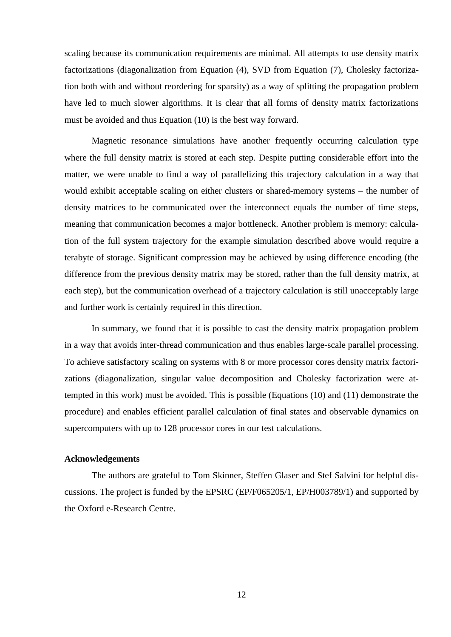scaling because its communication requirements are minimal. All attempts to use density matrix factorizations (diagonalization from Equation (4), SVD from Equation (7), Cholesky factorization both with and without reordering for sparsity) as a way of splitting the propagation problem have led to much slower algorithms. It is clear that all forms of density matrix factorizations must be avoided and thus Equation (10) is the best way forward.

Magnetic resonance simulations have another frequently occurring calculation type where the full density matrix is stored at each step. Despite putting considerable effort into the matter, we were unable to find a way of parallelizing this trajectory calculation in a way that would exhibit acceptable scaling on either clusters or shared-memory systems – the number of density matrices to be communicated over the interconnect equals the number of time steps, meaning that communication becomes a major bottleneck. Another problem is memory: calculation of the full system trajectory for the example simulation described above would require a terabyte of storage. Significant compression may be achieved by using difference encoding (the difference from the previous density matrix may be stored, rather than the full density matrix, at each step), but the communication overhead of a trajectory calculation is still unacceptably large and further work is certainly required in this direction.

In summary, we found that it is possible to cast the density matrix propagation problem in a way that avoids inter-thread communication and thus enables large-scale parallel processing. To achieve satisfactory scaling on systems with 8 or more processor cores density matrix factorizations (diagonalization, singular value decomposition and Cholesky factorization were attempted in this work) must be avoided. This is possible (Equations (10) and (11) demonstrate the procedure) and enables efficient parallel calculation of final states and observable dynamics on supercomputers with up to 128 processor cores in our test calculations.

## **Acknowledgements**

The authors are grateful to Tom Skinner, Steffen Glaser and Stef Salvini for helpful discussions. The project is funded by the EPSRC (EP/F065205/1, EP/H003789/1) and supported by the Oxford e-Research Centre.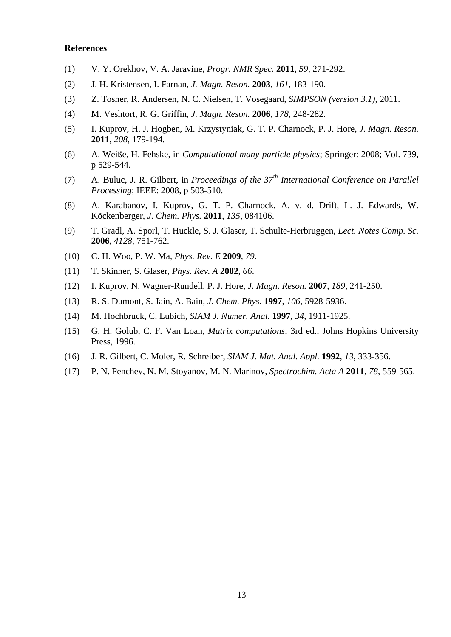#### **References**

- (1) V. Y. Orekhov, V. A. Jaravine, *Progr. NMR Spec.* **2011**, *59*, 271-292.
- (2) J. H. Kristensen, I. Farnan, *J. Magn. Reson.* **2003**, *161*, 183-190.
- (3) Z. Tosner, R. Andersen, N. C. Nielsen, T. Vosegaard, *SIMPSON (version 3.1)*, 2011.
- (4) M. Veshtort, R. G. Griffin, *J. Magn. Reson.* **2006**, *178*, 248-282.
- (5) I. Kuprov, H. J. Hogben, M. Krzystyniak, G. T. P. Charnock, P. J. Hore, *J. Magn. Reson.* **2011**, *208*, 179-194.
- (6) A. Weiße, H. Fehske, in *Computational many-particle physics*; Springer: 2008; Vol. 739, p 529-544.
- (7) A. Buluc, J. R. Gilbert, in *Proceedings of the 37th International Conference on Parallel Processing*; IEEE: 2008, p 503-510.
- (8) A. Karabanov, I. Kuprov, G. T. P. Charnock, A. v. d. Drift, L. J. Edwards, W. Köckenberger, *J. Chem. Phys.* **2011**, *135*, 084106.
- (9) T. Gradl, A. Sporl, T. Huckle, S. J. Glaser, T. Schulte-Herbruggen, *Lect. Notes Comp. Sc.* **2006**, *4128*, 751-762.
- (10) C. H. Woo, P. W. Ma, *Phys. Rev. E* **2009**, *79*.
- (11) T. Skinner, S. Glaser, *Phys. Rev. A* **2002**, *66*.
- (12) I. Kuprov, N. Wagner-Rundell, P. J. Hore, *J. Magn. Reson.* **2007**, *189*, 241-250.
- (13) R. S. Dumont, S. Jain, A. Bain, *J. Chem. Phys.* **1997**, *106*, 5928-5936.
- (14) M. Hochbruck, C. Lubich, *SIAM J. Numer. Anal.* **1997**, *34*, 1911-1925.
- (15) G. H. Golub, C. F. Van Loan, *Matrix computations*; 3rd ed.; Johns Hopkins University Press, 1996.
- (16) J. R. Gilbert, C. Moler, R. Schreiber, *SIAM J. Mat. Anal. Appl.* **1992**, *13*, 333-356.
- (17) P. N. Penchev, N. M. Stoyanov, M. N. Marinov, *Spectrochim. Acta A* **2011**, *78*, 559-565.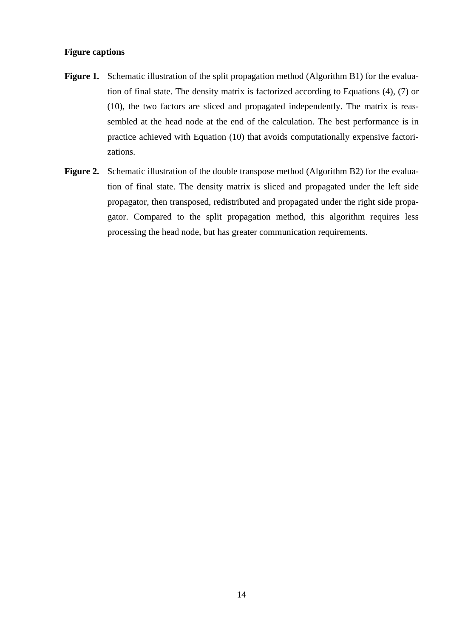# **Figure captions**

- Figure 1. Schematic illustration of the split propagation method (Algorithm B1) for the evaluation of final state. The density matrix is factorized according to Equations (4), (7) or (10), the two factors are sliced and propagated independently. The matrix is reassembled at the head node at the end of the calculation. The best performance is in practice achieved with Equation (10) that avoids computationally expensive factorizations.
- **Figure 2.** Schematic illustration of the double transpose method (Algorithm B2) for the evaluation of final state. The density matrix is sliced and propagated under the left side propagator, then transposed, redistributed and propagated under the right side propagator. Compared to the split propagation method, this algorithm requires less processing the head node, but has greater communication requirements.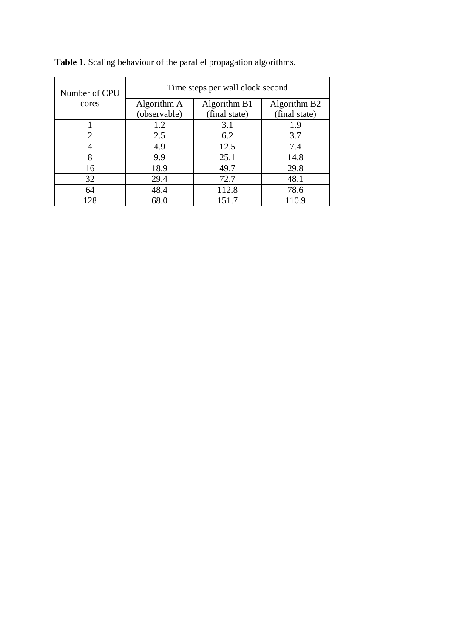| Number of CPU         | Time steps per wall clock second |               |               |
|-----------------------|----------------------------------|---------------|---------------|
| cores                 | Algorithm A                      | Algorithm B1  | Algorithm B2  |
|                       | (observable)                     | (final state) | (final state) |
|                       | 1.2                              | 3.1           | 1.9           |
| $\mathcal{D}_{\cdot}$ | 2.5                              | 6.2           | 3.7           |
|                       | 4.9                              | 12.5          | 7.4           |
| 8                     | 9.9                              | 25.1          | 14.8          |
| 16                    | 18.9                             | 49.7          | 29.8          |
| 32                    | 29.4                             | 72.7          | 48.1          |
| 64                    | 48.4                             | 112.8         | 78.6          |
| 128                   | 68.0                             | 151.7         | 110.9         |

**Table 1.** Scaling behaviour of the parallel propagation algorithms.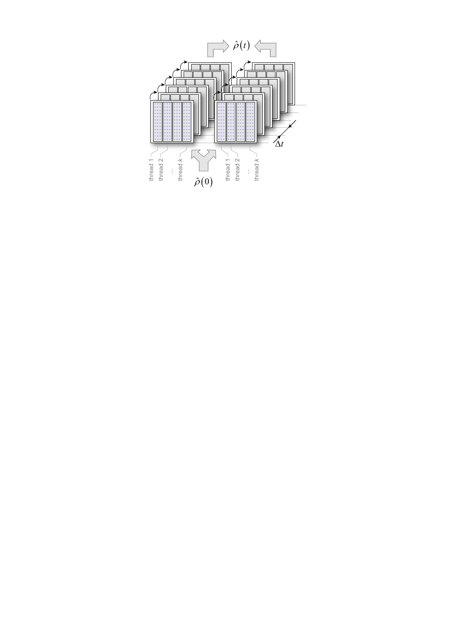